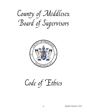## County of Middlesex Board of Supervisors



## Code of Ethics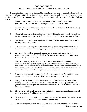## **CODE OF ETHICS COUNTY OF MIDDLESEX BOARD OF SUPERVISORS**

Recognizing that persons who hold public office have been given a public trust and that the stewardship of such office demands the highest levels of ethical and moral conduct, any person serving on the Middlesex County Board of Supervisors should adhere to the following Code of Ethics.

- 1. Uphold the Constitution, laws and regulations of the United States and of all governments therein and never knowingly be a party to their evasion.
- 2. Put loyalty to the highest moral principles and to the County as a whole above loyalty to individuals, districts, or particular groups.
- 3. Give a full measure of effort and service to the position of trust for which stewardship has been granted; giving earnest effort and best thought to the performance of duties.
- 4. Seek to find and use the most equitable, efficient, effective, and economical means for getting tasks accomplished.
- 5. Adopt policies and programs that support the rights and recognize the needs of all citizens regardless of race, sex, age, religion, creed, country of origin, or disability.
- 6. Avoid adopting policies, supporting programs or engaging in activities that discriminate against or offend individuals because of race, sex, age, religion, creed, country of origin, or disability.
- 7. Ensure the integrity of the actions of the Board of Supervisors by avoiding discrimination through the dispensing of special favors or unfair privileges to anyone, whether for remuneration or not. A member should never accept for himself/herself or for family members, favors or benefits under circumstances that might be construed by reasonable persons as influencing the performance of governmental duties.
- 8. Make no private promises of any kind binding upon the duties of any office, since a public servant has no private word that can be binding on public duty.
- 9. Engage in no business with the County government, or the school system, either directly or indirectly, which is inconsistent with the conscientious performance of government duties except as may be consistent with the conflict of interest statutes in the Code of Virginia.
- 10. Never use any information gained confidentially in the performance of governmental duties as a means of making private profit.
- 11. When any misconduct, neglect of duty, or corruption is discovered, the members of the Board, as a body, will pursue and respond appropriately.
- 12. Adhere to the principle that the public's business should be conducted in the public